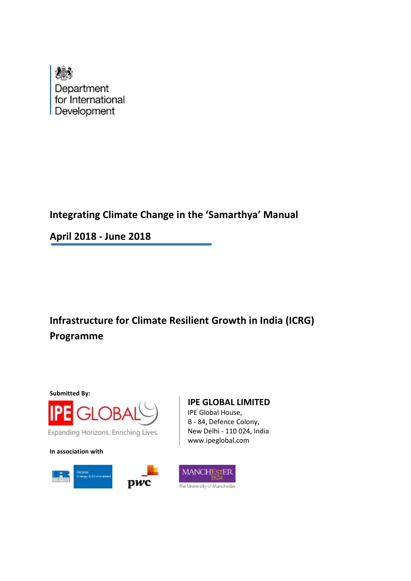

# **Integrating Climate Change in the 'Samarthya' Manual**

**April 2018 - June 2018**

**Infrastructure for Climate Resilient Growth in India (ICRG) Programme**



**In association with**



## **IPE GLOBAL LIMITED**

IPE Global House, B - 84, Defence Colony, New Delhi - 110 024, India www.ipeglobal.com

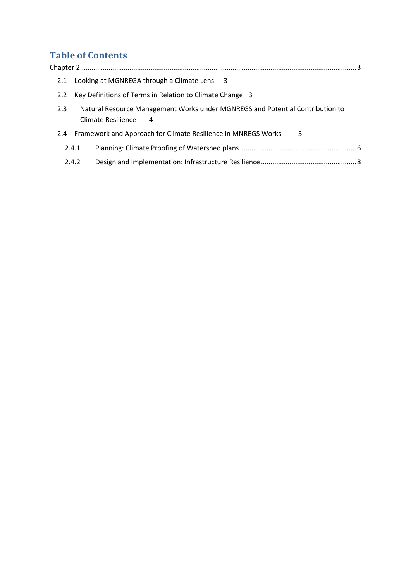# **Table of Contents**

| 2.1           |                                                                                                                 | Looking at MGNREGA through a Climate Lens 3 |  |  |  |  |  |
|---------------|-----------------------------------------------------------------------------------------------------------------|---------------------------------------------|--|--|--|--|--|
| 2.2           | Key Definitions of Terms in Relation to Climate Change 3                                                        |                                             |  |  |  |  |  |
| 2.3           | Natural Resource Management Works under MGNREGS and Potential Contribution to<br><b>Climate Resilience</b><br>4 |                                             |  |  |  |  |  |
| $2.4^{\circ}$ | Framework and Approach for Climate Resilience in MNREGS Works<br>5                                              |                                             |  |  |  |  |  |
| 2.4.1         |                                                                                                                 |                                             |  |  |  |  |  |
| 2.4.2         |                                                                                                                 |                                             |  |  |  |  |  |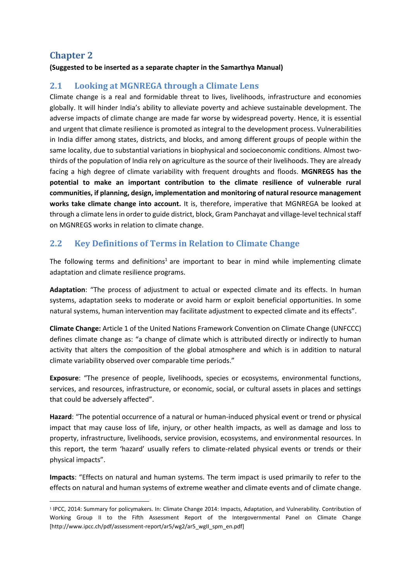# <span id="page-2-0"></span>**Chapter 2**

1

#### **(Suggested to be inserted as a separate chapter in the Samarthya Manual)**

### <span id="page-2-1"></span>**2.1 Looking at MGNREGA through a Climate Lens**

Climate change is a real and formidable threat to lives, livelihoods, infrastructure and economies globally. It will hinder India's ability to alleviate poverty and achieve sustainable development. The adverse impacts of climate change are made far worse by widespread poverty. Hence, it is essential and urgent that climate resilience is promoted as integral to the development process. Vulnerabilities in India differ among states, districts, and blocks, and among different groups of people within the same locality, due to substantial variations in biophysical and socioeconomic conditions. Almost twothirds of the population of India rely on agriculture as the source of their livelihoods. They are already facing a high degree of climate variability with frequent droughts and floods. **MGNREGS has the potential to make an important contribution to the climate resilience of vulnerable rural communities, if planning, design, implementation and monitoring of natural resource management works take climate change into account.** It is, therefore, imperative that MGNREGA be looked at through a climate lens in order to guide district, block, Gram Panchayat and village-level technical staff on MGNREGS works in relation to climate change.

## <span id="page-2-2"></span>**2.2 Key Definitions of Terms in Relation to Climate Change**

The following terms and definitions<sup>1</sup> are important to bear in mind while implementing climate adaptation and climate resilience programs.

**Adaptation**: "The process of adjustment to actual or expected climate and its effects. In human systems, adaptation seeks to moderate or avoid harm or exploit beneficial opportunities. In some natural systems, human intervention may facilitate adjustment to expected climate and its effects".

**Climate Change:** Article 1 of the United Nations Framework Convention on Climate Change (UNFCCC) defines climate change as: "a change of climate which is attributed directly or indirectly to human activity that alters the composition of the global atmosphere and which is in addition to natural climate variability observed over comparable time periods."

**Exposure**: "The presence of people, livelihoods, species or ecosystems, environmental functions, services, and resources, infrastructure, or economic, social, or cultural assets in places and settings that could be adversely affected".

**Hazard**: "The potential occurrence of a natural or human-induced physical event or trend or physical impact that may cause loss of life, injury, or other health impacts, as well as damage and loss to property, infrastructure, livelihoods, service provision, ecosystems, and environmental resources. In this report, the term 'hazard' usually refers to climate-related physical events or trends or their physical impacts".

**Impacts**: "Effects on natural and human systems. The term impact is used primarily to refer to the effects on natural and human systems of extreme weather and climate events and of climate change.

<sup>1</sup> IPCC, 2014: Summary for policymakers. In: Climate Change 2014: Impacts, Adaptation, and Vulnerability. Contribution of Working Group II to the Fifth Assessment Report of the Intergovernmental Panel on Climate Change [http://www.ipcc.ch/pdf/assessment-report/ar5/wg2/ar5\_wgII\_spm\_en.pdf]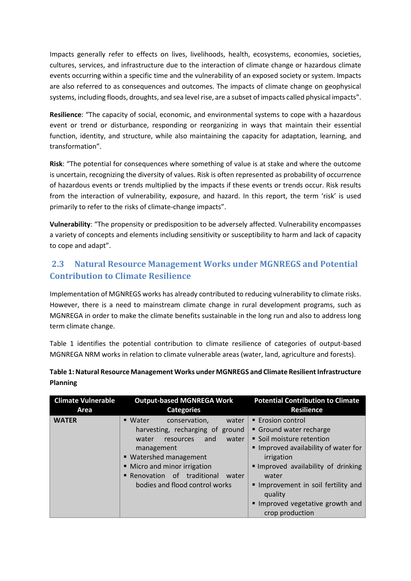Impacts generally refer to effects on lives, livelihoods, health, ecosystems, economies, societies, cultures, services, and infrastructure due to the interaction of climate change or hazardous climate events occurring within a specific time and the vulnerability of an exposed society or system. Impacts are also referred to as consequences and outcomes. The impacts of climate change on geophysical systems, including floods, droughts, and sea level rise, are a subset of impacts called physical impacts".

**Resilience**: "The capacity of social, economic, and environmental systems to cope with a hazardous event or trend or disturbance, responding or reorganizing in ways that maintain their essential function, identity, and structure, while also maintaining the capacity for adaptation, learning, and transformation".

**Risk**: "The potential for consequences where something of value is at stake and where the outcome is uncertain, recognizing the diversity of values. Risk is often represented as probability of occurrence of hazardous events or trends multiplied by the impacts if these events or trends occur. Risk results from the interaction of vulnerability, exposure, and hazard. In this report, the term 'risk' is used primarily to refer to the risks of climate-change impacts".

**Vulnerability**: "The propensity or predisposition to be adversely affected. Vulnerability encompasses a variety of concepts and elements including sensitivity or susceptibility to harm and lack of capacity to cope and adapt".

# <span id="page-3-0"></span>**2.3 Natural Resource Management Works under MGNREGS and Potential Contribution to Climate Resilience**

Implementation of MGNREGS works has already contributed to reducing vulnerability to climate risks. However, there is a need to mainstream climate change in rural development programs, such as MGNREGA in order to make the climate benefits sustainable in the long run and also to address long term climate change.

Table 1 identifies the potential contribution to climate resilience of categories of output-based MGNREGA NRM works in relation to climate vulnerable areas (water, land, agriculture and forests).

| <b>Climate Vulnerable</b><br>Area | <b>Output-based MGNREGA Work</b><br><b>Categories</b> | <b>Potential Contribution to Climate</b><br><b>Resilience</b> |
|-----------------------------------|-------------------------------------------------------|---------------------------------------------------------------|
|                                   |                                                       |                                                               |
| <b>WATER</b>                      | ■ Water<br>conservation,<br>water                     | ■ Erosion control                                             |
|                                   | harvesting, recharging of ground                      | Ground water recharge                                         |
|                                   | water<br>water<br>resources<br>and                    | • Soil moisture retention                                     |
|                                   | management                                            | Improved availability of water for                            |
|                                   | ■ Watershed management                                | irrigation                                                    |
|                                   | • Micro and minor irrigation                          | Improved availability of drinking                             |
|                                   | Renovation of traditional<br>water                    | water                                                         |
|                                   | bodies and flood control works                        | Improvement in soil fertility and<br>quality                  |
|                                   |                                                       | Improved vegetative growth and<br>crop production             |

**Table 1: Natural Resource Management Works under MGNREGS and Climate Resilient Infrastructure Planning**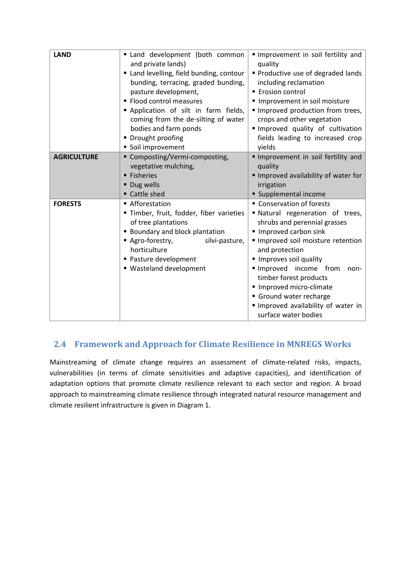| <b>LAND</b>        | Land development (both common<br>and private lands)<br>" Land levelling, field bunding, contour<br>bunding, terracing, graded bunding,<br>pasture development,<br>• Flood control measures<br>Application of silt in farm fields,<br>coming from the de-silting of water<br>bodies and farm ponds<br>• Drought proofing<br>Soil improvement | Improvement in soil fertility and<br>quality<br>Productive use of degraded lands<br>including reclamation<br>■ Erosion control<br>Improvement in soil moisture<br>Improved production from trees,<br>crops and other vegetation<br>Improved quality of cultivation<br>fields leading to increased crop<br>yields                                                                 |  |
|--------------------|---------------------------------------------------------------------------------------------------------------------------------------------------------------------------------------------------------------------------------------------------------------------------------------------------------------------------------------------|----------------------------------------------------------------------------------------------------------------------------------------------------------------------------------------------------------------------------------------------------------------------------------------------------------------------------------------------------------------------------------|--|
| <b>AGRICULTURE</b> | ■ Composting/Vermi-composting,<br>vegetative mulching,<br><b>Fisheries</b><br>• Dug wells<br>Cattle shed                                                                                                                                                                                                                                    | Improvement in soil fertility and<br>quality<br>Improved availability of water for<br>irrigation<br>Supplemental income                                                                                                                                                                                                                                                          |  |
| <b>FORESTS</b>     | ■ Afforestation<br>" Timber, fruit, fodder, fiber varieties<br>of tree plantations<br><b>Boundary and block plantation</b><br>Agro-forestry,<br>silvi-pasture,<br>horticulture<br>• Pasture development<br>■ Wasteland development                                                                                                          | • Conservation of forests<br>" Natural regeneration of trees,<br>shrubs and perennial grasses<br>■ Improved carbon sink<br>Improved soil moisture retention<br>and protection<br>Improves soil quality<br>Improved income from<br>non-<br>timber forest products<br>Improved micro-climate<br>Ground water recharge<br>Improved availability of water in<br>surface water bodies |  |

# <span id="page-4-0"></span> **2.4 Framework and Approach for Climate Resilience in MNREGS Works**

Mainstreaming of climate change requires an assessment of climate-related risks, impacts, vulnerabilities (in terms of climate sensitivities and adaptive capacities), and identification of adaptation options that promote climate resilience relevant to each sector and region. A broad approach to mainstreaming climate resilience through integrated natural resource management and climate resilient infrastructure is given in Diagram 1.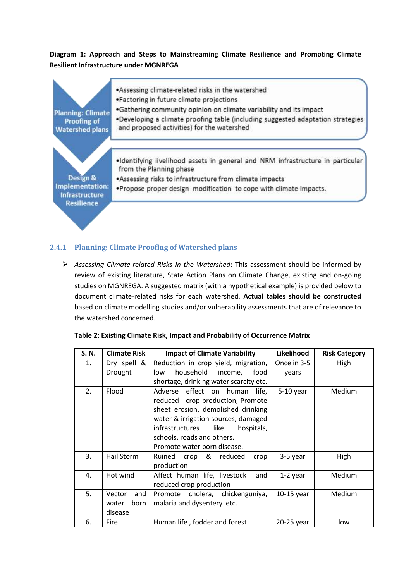### **Diagram 1: Approach and Steps to Mainstreaming Climate Resilience and Promoting Climate Resilient Infrastructure under MGNREGA**



### <span id="page-5-0"></span>**2.4.1 Planning: Climate Proofing of Watershed plans**

 *Assessing Climate-related Risks in the Watershed*: This assessment should be informed by review of existing literature, State Action Plans on Climate Change, existing and on-going studies on MGNREGA. A suggested matrix (with a hypothetical example) is provided below to document climate-related risks for each watershed. **Actual tables should be constructed** based on climate modelling studies and/or vulnerability assessments that are of relevance to the watershed concerned.

| S. N. | <b>Climate Risk</b> | <b>Impact of Climate Variability</b>   | Likelihood  | <b>Risk Category</b> |
|-------|---------------------|----------------------------------------|-------------|----------------------|
| 1.    | Dry spell &         | Reduction in crop yield, migration,    | Once in 3-5 | High                 |
|       | Drought             | household<br>low<br>income,<br>food    | years       |                      |
|       |                     | shortage, drinking water scarcity etc. |             |                      |
| 2.    | Flood               | Adverse effect on human<br>life.       | $5-10$ year | Medium               |
|       |                     | reduced crop production, Promote       |             |                      |
|       |                     | sheet erosion, demolished drinking     |             |                      |
|       |                     | water & irrigation sources, damaged    |             |                      |
|       |                     | infrastructures<br>like<br>hospitals,  |             |                      |
|       |                     | schools, roads and others.             |             |                      |
|       |                     | Promote water born disease.            |             |                      |
| 3.    | Hail Storm          | Ruined crop & reduced<br>crop          | 3-5 year    | High                 |
|       |                     | production                             |             |                      |
| 4.    | Hot wind            | Affect human life, livestock<br>and    | 1-2 year    | Medium               |
|       |                     | reduced crop production                |             |                      |
| 5.    | Vector<br>and       | Promote cholera, chickenguniya,        | 10-15 year  | Medium               |
|       | born<br>water       | malaria and dysentery etc.             |             |                      |
|       | disease             |                                        |             |                      |
| 6.    | Fire                | Human life, fodder and forest          | 20-25 year  | low                  |

#### **Table 2: Existing Climate Risk, Impact and Probability of Occurrence Matrix**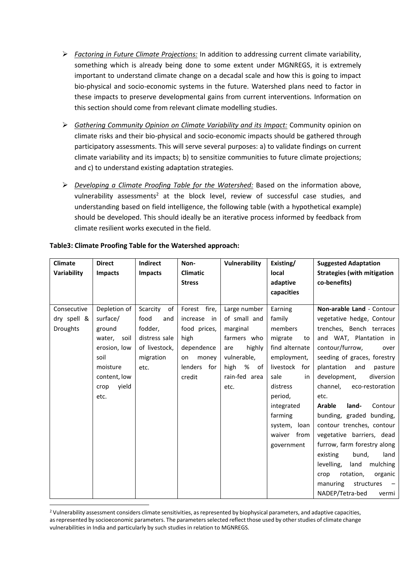- *Factoring in Future Climate Projections:* In addition to addressing current climate variability, something which is already being done to some extent under MGNREGS, it is extremely important to understand climate change on a decadal scale and how this is going to impact bio-physical and socio-economic systems in the future. Watershed plans need to factor in these impacts to preserve developmental gains from current interventions. Information on this section should come from relevant climate modelling studies.
- *Gathering Community Opinion on Climate Variability and its Impact:* Community opinion on climate risks and their bio-physical and socio-economic impacts should be gathered through participatory assessments. This will serve several purposes: a) to validate findings on current climate variability and its impacts; b) to sensitize communities to future climate projections; and c) to understand existing adaptation strategies.
- *Developing a Climate Proofing Table for the Watershed:* Based on the information above, vulnerability assessments<sup>2</sup> at the block level, review of successful case studies, and understanding based on field intelligence, the following table (with a hypothetical example) should be developed. This should ideally be an iterative process informed by feedback from climate resilient works executed in the field.

| <b>Climate</b>  | <b>Direct</b>  | <b>Indirect</b> | Non-            | Vulnerability   | Existing/       | <b>Suggested Adaptation</b>        |
|-----------------|----------------|-----------------|-----------------|-----------------|-----------------|------------------------------------|
| Variability     | Impacts        | <b>Impacts</b>  | <b>Climatic</b> |                 | local           | <b>Strategies (with mitigation</b> |
|                 |                |                 | <b>Stress</b>   |                 | adaptive        | co-benefits)                       |
|                 |                |                 |                 |                 | capacities      |                                    |
| Consecutive     | Depletion of   | Scarcity<br>of  | Forest fire,    | Large number    | Earning         | Non-arable Land - Contour          |
| dry spell &     | surface/       | food<br>and     | increase<br>in  | of small and    | family          | vegetative hedge, Contour          |
|                 |                |                 |                 |                 |                 |                                    |
| <b>Droughts</b> | ground         | fodder,         | food prices,    | marginal        | members         | trenches, Bench terraces           |
|                 | water,<br>soil | distress sale   | high            | farmers who     | migrate<br>to   | and WAT, Plantation in             |
|                 | erosion, low   | of livestock,   | dependence      | highly<br>are   | find alternate  | contour/furrow,<br>over            |
|                 | soil           | migration       | money<br>on     | vulnerable,     | employment,     | seeding of graces, forestry        |
|                 | moisture       | etc.            | lenders for     | %<br>high<br>of | livestock for   | plantation<br>and<br>pasture       |
|                 | content, low   |                 | credit          | rain-fed area   | sale<br>in      | development,<br>diversion          |
|                 | yield<br>crop  |                 |                 | etc.            | distress        | channel,<br>eco-restoration        |
|                 | etc.           |                 |                 |                 | period,         | etc.                               |
|                 |                |                 |                 |                 | integrated      | Arable<br>Contour<br>land-         |
|                 |                |                 |                 |                 | farming         | bunding, graded bunding,           |
|                 |                |                 |                 |                 | system,<br>loan | contour trenches, contour          |
|                 |                |                 |                 |                 | from<br>waiver  | vegetative barriers, dead          |
|                 |                |                 |                 |                 | government      | furrow, farm forestry along        |
|                 |                |                 |                 |                 |                 | existing<br>bund,<br>land          |
|                 |                |                 |                 |                 |                 | levelling,<br>land<br>mulching     |
|                 |                |                 |                 |                 |                 | rotation,<br>organic<br>crop       |
|                 |                |                 |                 |                 |                 | manuring<br>structures             |
|                 |                |                 |                 |                 |                 | NADEP/Tetra-bed<br>vermi           |

#### **Table3: Climate Proofing Table for the Watershed approach:**

1

<sup>&</sup>lt;sup>2</sup> Vulnerability assessment considers climate sensitivities, as represented by biophysical parameters, and adaptive capacities, as represented by socioeconomic parameters. The parameters selected reflect those used by other studies of climate change vulnerabilities in India and particularly by such studies in relation to MGNREGS.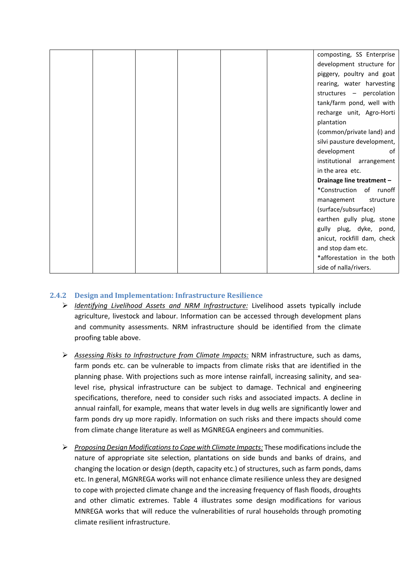|  |  |  | composting, SS Enterprise   |
|--|--|--|-----------------------------|
|  |  |  | development structure for   |
|  |  |  | piggery, poultry and goat   |
|  |  |  | rearing, water harvesting   |
|  |  |  | structures - percolation    |
|  |  |  | tank/farm pond, well with   |
|  |  |  | recharge unit, Agro-Horti   |
|  |  |  | plantation                  |
|  |  |  | (common/private land) and   |
|  |  |  | silvi pausture development, |
|  |  |  | development<br>of           |
|  |  |  | institutional arrangement   |
|  |  |  | in the area etc.            |
|  |  |  | Drainage line treatment -   |
|  |  |  | *Construction of runoff     |
|  |  |  | management<br>structure     |
|  |  |  | (surface/subsurface)        |
|  |  |  | earthen gully plug, stone   |
|  |  |  | gully plug, dyke, pond,     |
|  |  |  | anicut, rockfill dam, check |
|  |  |  | and stop dam etc.           |
|  |  |  | *afforestation in the both  |
|  |  |  | side of nalla/rivers.       |

#### <span id="page-7-0"></span>**2.4.2 Design and Implementation: Infrastructure Resilience**

- *Identifying Livelihood Assets and NRM Infrastructure:* Livelihood assets typically include agriculture, livestock and labour. Information can be accessed through development plans and community assessments. NRM infrastructure should be identified from the climate proofing table above.
- *Assessing Risks to Infrastructure from Climate Impacts:* NRM infrastructure, such as dams, farm ponds etc. can be vulnerable to impacts from climate risks that are identified in the planning phase. With projections such as more intense rainfall, increasing salinity, and sealevel rise, physical infrastructure can be subject to damage. Technical and engineering specifications, therefore, need to consider such risks and associated impacts. A decline in annual rainfall, for example, means that water levels in dug wells are significantly lower and farm ponds dry up more rapidly. Information on such risks and there impacts should come from climate change literature as well as MGNREGA engineers and communities.
- *Proposing Design Modifications to Cope with Climate Impacts:* These modifications include the nature of appropriate site selection, plantations on side bunds and banks of drains, and changing the location or design (depth, capacity etc.) of structures, such as farm ponds, dams etc. In general, MGNREGA works will not enhance climate resilience unless they are designed to cope with projected climate change and the increasing frequency of flash floods, droughts and other climatic extremes. Table 4 illustrates some design modifications for various MNREGA works that will reduce the vulnerabilities of rural households through promoting climate resilient infrastructure.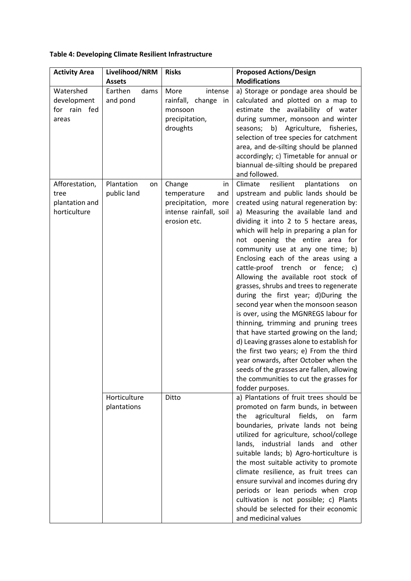| <b>Activity Area</b>                                     | Livelihood/NRM                  | <b>Risks</b>                                                                                        | <b>Proposed Actions/Design</b>                                                                                                                                                                                                                                                                                                                                                                                                                                                                                                                                                                                                                                                                                                                                                                                                                                                                                                                           |
|----------------------------------------------------------|---------------------------------|-----------------------------------------------------------------------------------------------------|----------------------------------------------------------------------------------------------------------------------------------------------------------------------------------------------------------------------------------------------------------------------------------------------------------------------------------------------------------------------------------------------------------------------------------------------------------------------------------------------------------------------------------------------------------------------------------------------------------------------------------------------------------------------------------------------------------------------------------------------------------------------------------------------------------------------------------------------------------------------------------------------------------------------------------------------------------|
|                                                          | <b>Assets</b>                   |                                                                                                     | <b>Modifications</b>                                                                                                                                                                                                                                                                                                                                                                                                                                                                                                                                                                                                                                                                                                                                                                                                                                                                                                                                     |
| Watershed<br>development<br>for rain fed<br>areas        | Earthen<br>dams<br>and pond     | intense<br>More<br>rainfall,<br>change in<br>monsoon<br>precipitation,<br>droughts                  | a) Storage or pondage area should be<br>calculated and plotted on a map to<br>estimate the availability of water<br>during summer, monsoon and winter<br>seasons; b) Agriculture, fisheries,<br>selection of tree species for catchment<br>area, and de-silting should be planned<br>accordingly; c) Timetable for annual or<br>biannual de-silting should be prepared<br>and followed.                                                                                                                                                                                                                                                                                                                                                                                                                                                                                                                                                                  |
| Afforestation,<br>tree<br>plantation and<br>horticulture | Plantation<br>on<br>public land | Change<br>in<br>temperature<br>and<br>precipitation, more<br>intense rainfall, soil<br>erosion etc. | Climate<br>resilient<br>plantations<br>on<br>upstream and public lands should be<br>created using natural regeneration by:<br>a) Measuring the available land and<br>dividing it into 2 to 5 hectare areas,<br>which will help in preparing a plan for<br>not opening the entire area for<br>community use at any one time; b)<br>Enclosing each of the areas using a<br>cattle-proof trench<br>fence;<br>or<br>C)<br>Allowing the available root stock of<br>grasses, shrubs and trees to regenerate<br>during the first year; d)During the<br>second year when the monsoon season<br>is over, using the MGNREGS labour for<br>thinning, trimming and pruning trees<br>that have started growing on the land;<br>d) Leaving grasses alone to establish for<br>the first two years; e) From the third<br>year onwards, after October when the<br>seeds of the grasses are fallen, allowing<br>the communities to cut the grasses for<br>fodder purposes. |
|                                                          | Horticulture<br>plantations     | Ditto                                                                                               | a) Plantations of fruit trees should be<br>promoted on farm bunds, in between<br>agricultural<br>fields,<br>the<br>on<br>farm<br>boundaries, private lands not being<br>utilized for agriculture, school/college<br>lands, industrial lands and<br>other<br>suitable lands; b) Agro-horticulture is<br>the most suitable activity to promote<br>climate resilience, as fruit trees can<br>ensure survival and incomes during dry<br>periods or lean periods when crop<br>cultivation is not possible; c) Plants<br>should be selected for their economic<br>and medicinal values                                                                                                                                                                                                                                                                                                                                                                         |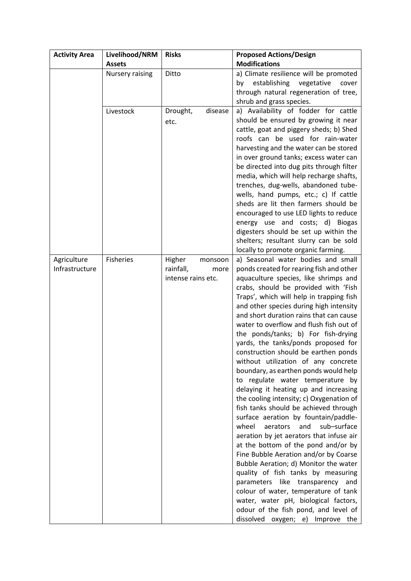| <b>Activity Area</b>          | Livelihood/NRM  | <b>Risks</b>                                                 | <b>Proposed Actions/Design</b>                                                                                                                                                                                                                                                                                                                                                                                                                                                                                                                                                                                                                                                                                                                                                                                                                                                                                                                                                                                                                                                                                                                                                                                     |
|-------------------------------|-----------------|--------------------------------------------------------------|--------------------------------------------------------------------------------------------------------------------------------------------------------------------------------------------------------------------------------------------------------------------------------------------------------------------------------------------------------------------------------------------------------------------------------------------------------------------------------------------------------------------------------------------------------------------------------------------------------------------------------------------------------------------------------------------------------------------------------------------------------------------------------------------------------------------------------------------------------------------------------------------------------------------------------------------------------------------------------------------------------------------------------------------------------------------------------------------------------------------------------------------------------------------------------------------------------------------|
|                               | <b>Assets</b>   |                                                              | <b>Modifications</b>                                                                                                                                                                                                                                                                                                                                                                                                                                                                                                                                                                                                                                                                                                                                                                                                                                                                                                                                                                                                                                                                                                                                                                                               |
|                               | Nursery raising | Ditto                                                        | a) Climate resilience will be promoted<br>establishing<br>vegetative<br>by<br>cover<br>through natural regeneration of tree,<br>shrub and grass species.                                                                                                                                                                                                                                                                                                                                                                                                                                                                                                                                                                                                                                                                                                                                                                                                                                                                                                                                                                                                                                                           |
|                               | Livestock       | disease<br>Drought,<br>etc.                                  | a) Availability of fodder for cattle<br>should be ensured by growing it near<br>cattle, goat and piggery sheds; b) Shed<br>roofs can be used for rain-water<br>harvesting and the water can be stored<br>in over ground tanks; excess water can<br>be directed into dug pits through filter<br>media, which will help recharge shafts,<br>trenches, dug-wells, abandoned tube-<br>wells, hand pumps, etc.; c) If cattle<br>sheds are lit then farmers should be<br>encouraged to use LED lights to reduce<br>energy use and costs; d) Biogas<br>digesters should be set up within the<br>shelters; resultant slurry can be sold<br>locally to promote organic farming.                                                                                                                                                                                                                                                                                                                                                                                                                                                                                                                                             |
| Agriculture<br>Infrastructure | Fisheries       | Higher<br>monsoon<br>rainfall,<br>more<br>intense rains etc. | a) Seasonal water bodies and small<br>ponds created for rearing fish and other<br>aquaculture species, like shrimps and<br>crabs, should be provided with 'Fish<br>Traps', which will help in trapping fish<br>and other species during high intensity<br>and short duration rains that can cause<br>water to overflow and flush fish out of<br>the ponds/tanks; b) For fish-drying<br>yards, the tanks/ponds proposed for<br>construction should be earthen ponds<br>without utilization of any concrete<br>boundary, as earthen ponds would help<br>to regulate water temperature by<br>delaying it heating up and increasing<br>the cooling intensity; c) Oxygenation of<br>fish tanks should be achieved through<br>surface aeration by fountain/paddle-<br>sub-surface<br>wheel<br>aerators<br>and<br>aeration by jet aerators that infuse air<br>at the bottom of the pond and/or by<br>Fine Bubble Aeration and/or by Coarse<br>Bubble Aeration; d) Monitor the water<br>quality of fish tanks by measuring<br>parameters like transparency and<br>colour of water, temperature of tank<br>water, water pH, biological factors,<br>odour of the fish pond, and level of<br>dissolved oxygen; e) Improve the |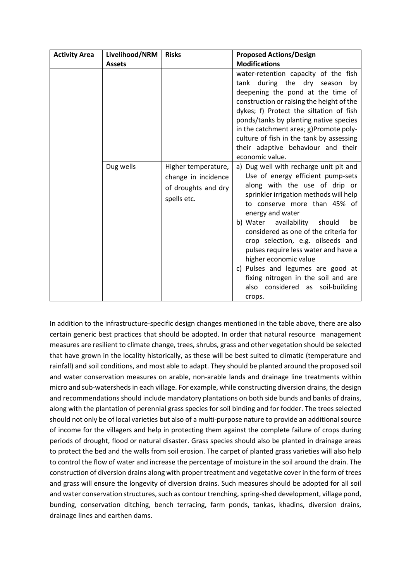| <b>Activity Area</b> | Livelihood/NRM | <b>Risks</b>                                              | <b>Proposed Actions/Design</b>                                                                                                                                                                                                                                                                                                                                                                                                                                                  |
|----------------------|----------------|-----------------------------------------------------------|---------------------------------------------------------------------------------------------------------------------------------------------------------------------------------------------------------------------------------------------------------------------------------------------------------------------------------------------------------------------------------------------------------------------------------------------------------------------------------|
|                      | <b>Assets</b>  |                                                           | <b>Modifications</b>                                                                                                                                                                                                                                                                                                                                                                                                                                                            |
|                      | Dug wells      | Higher temperature,                                       | water-retention capacity of the fish<br>tank during the dry season<br>by<br>deepening the pond at the time of<br>construction or raising the height of the<br>dykes; f) Protect the siltation of fish<br>ponds/tanks by planting native species<br>in the catchment area; g)Promote poly-<br>culture of fish in the tank by assessing<br>their adaptive behaviour and their<br>economic value.<br>a) Dug well with recharge unit pit and                                        |
|                      |                | change in incidence<br>of droughts and dry<br>spells etc. | Use of energy efficient pump-sets<br>along with the use of drip or<br>sprinkler irrigation methods will help<br>to conserve more than 45% of<br>energy and water<br>b) Water availability should<br>be<br>considered as one of the criteria for<br>crop selection, e.g. oilseeds and<br>pulses require less water and have a<br>higher economic value<br>c) Pulses and legumes are good at<br>fixing nitrogen in the soil and are<br>also considered as soil-building<br>crops. |

In addition to the infrastructure-specific design changes mentioned in the table above, there are also certain generic best practices that should be adopted. In order that natural resource management measures are resilient to climate change, trees, shrubs, grass and other vegetation should be selected that have grown in the locality historically, as these will be best suited to climatic (temperature and rainfall) and soil conditions, and most able to adapt. They should be planted around the proposed soil and water conservation measures on arable, non-arable lands and drainage line treatments within micro and sub-watersheds in each village. For example, while constructing diversion drains, the design and recommendations should include mandatory plantations on both side bunds and banks of drains, along with the plantation of perennial grass species for soil binding and for fodder. The trees selected should not only be of local varieties but also of a multi-purpose nature to provide an additional source of income for the villagers and help in protecting them against the complete failure of crops during periods of drought, flood or natural disaster. Grass species should also be planted in drainage areas to protect the bed and the walls from soil erosion. The carpet of planted grass varieties will also help to control the flow of water and increase the percentage of moisture in the soil around the drain. The construction of diversion drains along with proper treatment and vegetative cover in the form of trees and grass will ensure the longevity of diversion drains. Such measures should be adopted for all soil and water conservation structures, such as contour trenching, spring-shed development, village pond, bunding, conservation ditching, bench terracing, farm ponds, tankas, khadins, diversion drains, drainage lines and earthen dams.